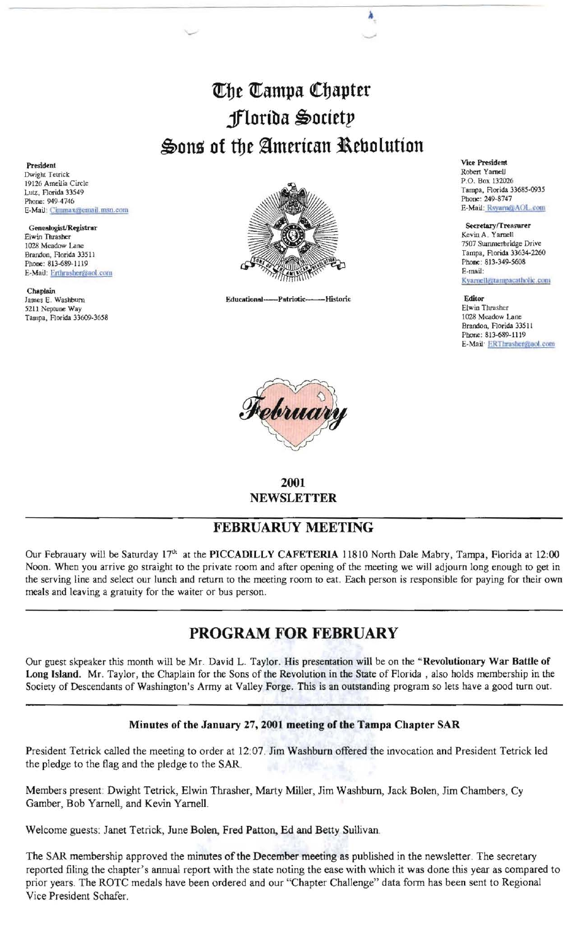## The Tampa Chapter jfloriba ~O(ttt!' Sons of the American Rebolution

 $\overline{\phantom{a}}$ 

President Vice President Roben Yarnell Dwight Tetrick

E-Mail: Erthrasher vaol.com

Chaplain<br>James E. Washburn 5211 Neptune Way **Elwin Thrasher** Elwin Thrasher extending the Studies of the Studies of the Studies of the Studies of the Studies of the Studies of the Studies of the Studies of the Studies of the Studies of the Studies o Tampa, Florida 33609-3658



James E. Washbum Educational--Patriotic·-Historic Editor



2001 NEWSLETTER

## FEBRUARUY MEETING

Our Febrauary will be Saturday 17<sup>th</sup> at the PICCADILLY CAFETERIA 11810 North Dale Mabry, Tampa, Florida at 12:00 Noon. When you arrive go straight to the private room and after opening of the meeting we will adjourn long enough to get in the serving line and select our lunch and return to the meeting room to eat. Each person is responsible for paying for their own meals and leaving a gratuity for the waiter or bus person.

## PROGRAM FOR FEBRUARY

Our guest skpeaker this month will be Mr. David L. Taylor. His presentation will be on the "Revolutionary War Battle of Long Island. Mr. Taylor, the Chaplain for the Sons of the Revolution in the State of Florida, also holds membership in the Society of Descendants of Washington's Army at Valley Forge. This is an outstanding program so lets have a good turn out.

## Minutes of the January 27, 2001 meeting of the Tampa Chapter SAR

President Tetrick called the meeting to order at 12:07. Jim Washburn offered the invocation and President Tetrick led the pledge to the flag and the pledge to the SAR.

Members present: Dwight Tetrick, Elwin Thrasher, Marty Miller, Jim Washburn, Jack Bolen, Jim Chambers, Cy Gamber, Bob Yarnell, and Kevin Yarnell.

Welcome guests: Janet Tetrick, June Bolen, Fred Patton, Ed and Betty Sullivan.

The SAR membership approved the minutes of the December meeting as published in the newsletter. The secretary reported filing the chapter's annual report with the state noting the ease with which it was done this year as compared to prior years. The ROTC medals have been ordered and our "Chapter Challenge" data fonn has been sent to Regional Vice President Schafer.

Tampa, Florida 33685-0935<br>Phone: 249-8747

Kyarnell@tampac

Brandon, Florida 33511 Phone: 813-689-1119 E-Mail<sup>.</sup> ERThrasher@aol.com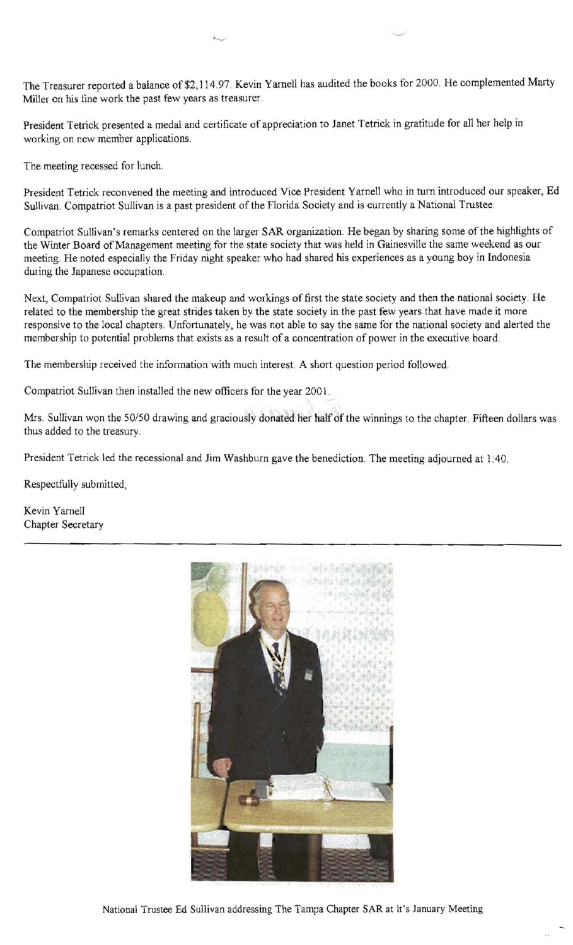The Treasurer reported a balance of \$2, 114.97. Kevin Yarnell has audited the books for 2000. He complemented Marty Miller on his fine work the past few years as treasurer.

President Tetrick presented a medal and certificate of appreciation to Janet Tetrick in gratitude for all her help in working on new member applications.

The meeting recessed for lunch.

President Tetrick reconvened the meeting and introduced Vice President Yarnell who in tum introduced our speaker, Ed Sullivan. Compatriot Sullivan is a past president of the Florida Society and is currently a National Trustee.

Compatriot Sullivan's remarks centered on the larger SAR organization. He began by sharing some of the highlights of the Winter Board of Management meeting for the state society that was held in Gainesville the same weekend as our meeting. He noted especially the Friday night speaker who had shared his experiences as a young boy in Indonesia during the Japanese occupation.

Next, Compatriot Sullivan shared the makeup and workings of first the state society and then the national society. He related to the membership the great strides taken by the state society in the past few years that have made it more responsive to the local chapters. Unfortunately, he was not able to say the same for the national society and alerted the membership to potential problems that exists as a result of a concentration of power in the executive board.

The membership received the information with much interest. A short question period followed.

Compatriot Sullivan then installed the new officers for the year 2001.

Mrs. Sullivan won the 50/50 drawing and graciously donated her half of the winnings to the chapter. Fifteen dollars was thus added to the treasury

President Tetrick led the recessional and Jim Washburn gave the benediction. The meeting adjourned at 1:40.

Respectfully submitted,

Kevin Yamell Chapter Secretary



National Trustee Ed Sullivan addressing The Tampa Chapter SAR at it's January Meeting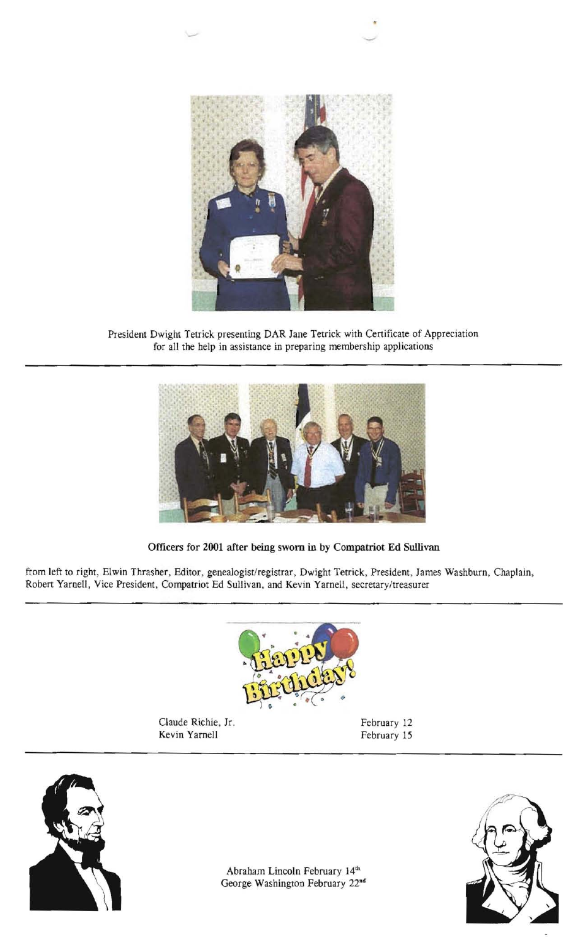

President Dwight Tetrick presenting DAR Jane Tetrick with Certificate of Appreciation for all the help in assistance in preparing membership applications



Officers for 2001 after being sworn in by Compatriot Ed Sullivan

from left to right, Elwin Thrasher, Editor, genealogist/registrar, Dwight Tetrick, President, James Washburn, Chaplain, Robert Yarnell, Vice President, Compatriot Ed Sullivan, and Kevin Yarnell, secretary/treasurer



Claude Richie, Jr. February 12 Kevin Yarnell February 15





Abraham Lincoln February 14th George Washington February 22nd